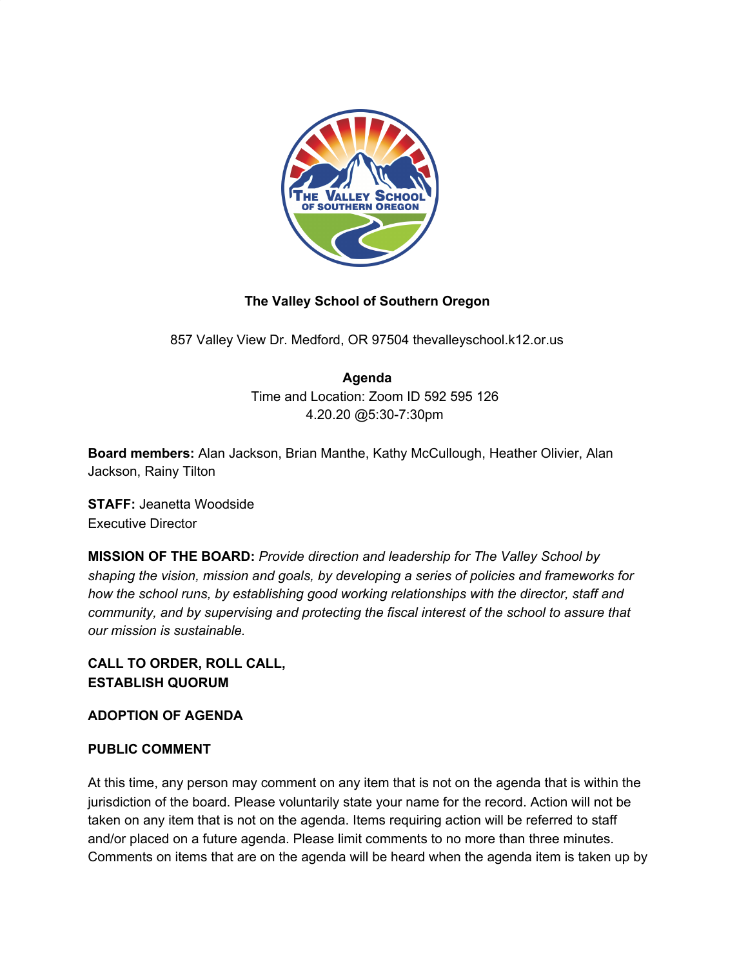

# **The Valley School of Southern Oregon**

857 Valley View Dr. Medford, OR 97504 thevalleyschool.k12.or.us

### **Agenda**

Time and Location: Zoom ID 592 595 126 4.20.20 @5:30-7:30pm

**Board members:** Alan Jackson, Brian Manthe, Kathy McCullough, Heather Olivier, Alan Jackson, Rainy Tilton

**STAFF:** Jeanetta Woodside Executive Director

**MISSION OF THE BOARD:** *Provide direction and leadership for The Valley School by shaping the vision, mission and goals, by developing a series of policies and frameworks for how the school runs, by establishing good working relationships with the director, staff and community, and by supervising and protecting the fiscal interest of the school to assure that our mission is sustainable.*

# **CALL TO ORDER, ROLL CALL, ESTABLISH QUORUM**

### **ADOPTION OF AGENDA**

### **PUBLIC COMMENT**

At this time, any person may comment on any item that is not on the agenda that is within the jurisdiction of the board. Please voluntarily state your name for the record. Action will not be taken on any item that is not on the agenda. Items requiring action will be referred to staff and/or placed on a future agenda. Please limit comments to no more than three minutes. Comments on items that are on the agenda will be heard when the agenda item is taken up by